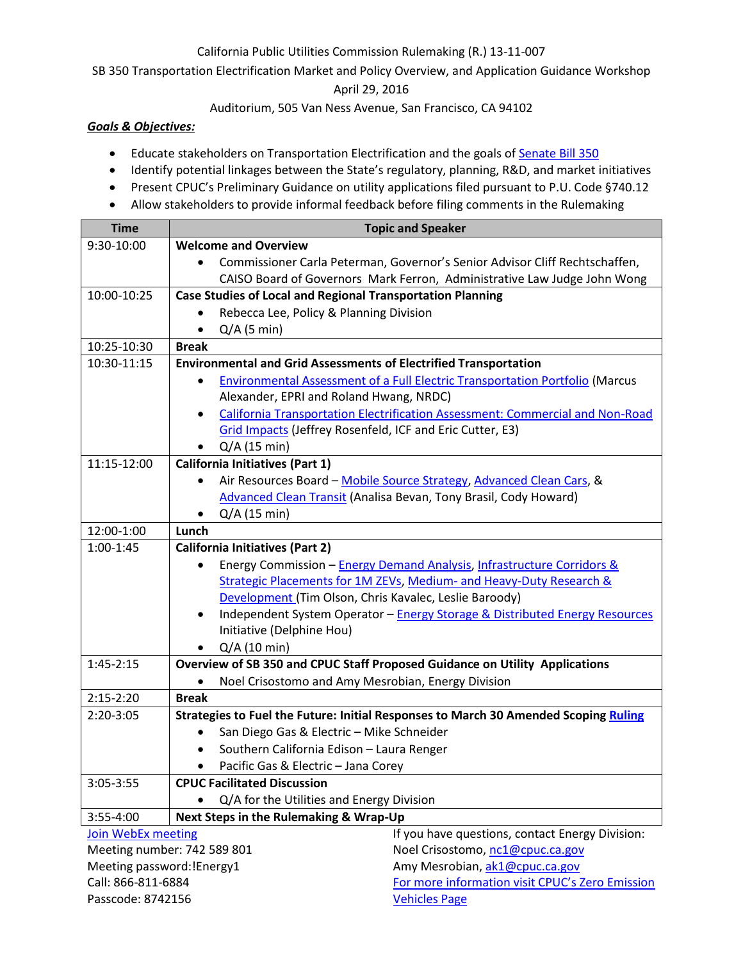## California Public Utilities Commission Rulemaking (R.) 13-11-007

SB 350 Transportation Electrification Market and Policy Overview, and Application Guidance Workshop

April 29, 2016

Auditorium, 505 Van Ness Avenue, San Francisco, CA 94102

## *Goals & Objectives:*

- Educate stakeholders on Transportation Electrification and the goals o[f Senate Bill 350](http://leginfo.legislature.ca.gov/faces/billNavClient.xhtml?bill_id=201520160SB350)
- Identify potential linkages between the State's regulatory, planning, R&D, and market initiatives
- Present CPUC's Preliminary Guidance on utility applications filed pursuant to P.U. Code §740.12
- Allow stakeholders to provide informal feedback before filing comments in the Rulemaking

| <b>Time</b>                                                                                                                               | <b>Topic and Speaker</b>                                                                                                                                                                                                                                                                                                                                                                                                                                                                                                                                                                                                                                                                                                                                                                                                                                                                                                                                                                                         |                                                                              |  |
|-------------------------------------------------------------------------------------------------------------------------------------------|------------------------------------------------------------------------------------------------------------------------------------------------------------------------------------------------------------------------------------------------------------------------------------------------------------------------------------------------------------------------------------------------------------------------------------------------------------------------------------------------------------------------------------------------------------------------------------------------------------------------------------------------------------------------------------------------------------------------------------------------------------------------------------------------------------------------------------------------------------------------------------------------------------------------------------------------------------------------------------------------------------------|------------------------------------------------------------------------------|--|
| 9:30-10:00                                                                                                                                | <b>Welcome and Overview</b>                                                                                                                                                                                                                                                                                                                                                                                                                                                                                                                                                                                                                                                                                                                                                                                                                                                                                                                                                                                      |                                                                              |  |
|                                                                                                                                           | Commissioner Carla Peterman, Governor's Senior Advisor Cliff Rechtschaffen,<br>$\bullet$                                                                                                                                                                                                                                                                                                                                                                                                                                                                                                                                                                                                                                                                                                                                                                                                                                                                                                                         |                                                                              |  |
|                                                                                                                                           | CAISO Board of Governors Mark Ferron, Administrative Law Judge John Wong                                                                                                                                                                                                                                                                                                                                                                                                                                                                                                                                                                                                                                                                                                                                                                                                                                                                                                                                         |                                                                              |  |
| 10:00-10:25                                                                                                                               | <b>Case Studies of Local and Regional Transportation Planning</b>                                                                                                                                                                                                                                                                                                                                                                                                                                                                                                                                                                                                                                                                                                                                                                                                                                                                                                                                                |                                                                              |  |
|                                                                                                                                           |                                                                                                                                                                                                                                                                                                                                                                                                                                                                                                                                                                                                                                                                                                                                                                                                                                                                                                                                                                                                                  | Rebecca Lee, Policy & Planning Division                                      |  |
|                                                                                                                                           | $Q/A$ (5 min)                                                                                                                                                                                                                                                                                                                                                                                                                                                                                                                                                                                                                                                                                                                                                                                                                                                                                                                                                                                                    |                                                                              |  |
| 10:25-10:30                                                                                                                               | <b>Break</b>                                                                                                                                                                                                                                                                                                                                                                                                                                                                                                                                                                                                                                                                                                                                                                                                                                                                                                                                                                                                     |                                                                              |  |
| 10:30-11:15                                                                                                                               | <b>Environmental and Grid Assessments of Electrified Transportation</b>                                                                                                                                                                                                                                                                                                                                                                                                                                                                                                                                                                                                                                                                                                                                                                                                                                                                                                                                          |                                                                              |  |
|                                                                                                                                           |                                                                                                                                                                                                                                                                                                                                                                                                                                                                                                                                                                                                                                                                                                                                                                                                                                                                                                                                                                                                                  | Environmental Assessment of a Full Electric Transportation Portfolio (Marcus |  |
|                                                                                                                                           | Alexander, EPRI and Roland Hwang, NRDC)                                                                                                                                                                                                                                                                                                                                                                                                                                                                                                                                                                                                                                                                                                                                                                                                                                                                                                                                                                          |                                                                              |  |
|                                                                                                                                           | California Transportation Electrification Assessment: Commercial and Non-Road<br>$\bullet$                                                                                                                                                                                                                                                                                                                                                                                                                                                                                                                                                                                                                                                                                                                                                                                                                                                                                                                       |                                                                              |  |
|                                                                                                                                           | Grid Impacts (Jeffrey Rosenfeld, ICF and Eric Cutter, E3)                                                                                                                                                                                                                                                                                                                                                                                                                                                                                                                                                                                                                                                                                                                                                                                                                                                                                                                                                        |                                                                              |  |
|                                                                                                                                           | $Q/A$ (15 min)                                                                                                                                                                                                                                                                                                                                                                                                                                                                                                                                                                                                                                                                                                                                                                                                                                                                                                                                                                                                   |                                                                              |  |
| 11:15-12:00                                                                                                                               | <b>California Initiatives (Part 1)</b>                                                                                                                                                                                                                                                                                                                                                                                                                                                                                                                                                                                                                                                                                                                                                                                                                                                                                                                                                                           |                                                                              |  |
|                                                                                                                                           | Air Resources Board - Mobile Source Strategy, Advanced Clean Cars, &<br>$\bullet$                                                                                                                                                                                                                                                                                                                                                                                                                                                                                                                                                                                                                                                                                                                                                                                                                                                                                                                                |                                                                              |  |
|                                                                                                                                           |                                                                                                                                                                                                                                                                                                                                                                                                                                                                                                                                                                                                                                                                                                                                                                                                                                                                                                                                                                                                                  | <b>Advanced Clean Transit (Analisa Bevan, Tony Brasil, Cody Howard)</b>      |  |
|                                                                                                                                           | $Q/A$ (15 min)                                                                                                                                                                                                                                                                                                                                                                                                                                                                                                                                                                                                                                                                                                                                                                                                                                                                                                                                                                                                   |                                                                              |  |
| 12:00-1:00                                                                                                                                | Lunch                                                                                                                                                                                                                                                                                                                                                                                                                                                                                                                                                                                                                                                                                                                                                                                                                                                                                                                                                                                                            |                                                                              |  |
| 1:00-1:45                                                                                                                                 | <b>California Initiatives (Part 2)</b>                                                                                                                                                                                                                                                                                                                                                                                                                                                                                                                                                                                                                                                                                                                                                                                                                                                                                                                                                                           |                                                                              |  |
|                                                                                                                                           | Energy Commission - Energy Demand Analysis, Infrastructure Corridors &                                                                                                                                                                                                                                                                                                                                                                                                                                                                                                                                                                                                                                                                                                                                                                                                                                                                                                                                           |                                                                              |  |
|                                                                                                                                           |                                                                                                                                                                                                                                                                                                                                                                                                                                                                                                                                                                                                                                                                                                                                                                                                                                                                                                                                                                                                                  |                                                                              |  |
|                                                                                                                                           |                                                                                                                                                                                                                                                                                                                                                                                                                                                                                                                                                                                                                                                                                                                                                                                                                                                                                                                                                                                                                  |                                                                              |  |
|                                                                                                                                           |                                                                                                                                                                                                                                                                                                                                                                                                                                                                                                                                                                                                                                                                                                                                                                                                                                                                                                                                                                                                                  |                                                                              |  |
|                                                                                                                                           |                                                                                                                                                                                                                                                                                                                                                                                                                                                                                                                                                                                                                                                                                                                                                                                                                                                                                                                                                                                                                  |                                                                              |  |
|                                                                                                                                           |                                                                                                                                                                                                                                                                                                                                                                                                                                                                                                                                                                                                                                                                                                                                                                                                                                                                                                                                                                                                                  |                                                                              |  |
|                                                                                                                                           |                                                                                                                                                                                                                                                                                                                                                                                                                                                                                                                                                                                                                                                                                                                                                                                                                                                                                                                                                                                                                  |                                                                              |  |
|                                                                                                                                           |                                                                                                                                                                                                                                                                                                                                                                                                                                                                                                                                                                                                                                                                                                                                                                                                                                                                                                                                                                                                                  |                                                                              |  |
|                                                                                                                                           |                                                                                                                                                                                                                                                                                                                                                                                                                                                                                                                                                                                                                                                                                                                                                                                                                                                                                                                                                                                                                  |                                                                              |  |
|                                                                                                                                           |                                                                                                                                                                                                                                                                                                                                                                                                                                                                                                                                                                                                                                                                                                                                                                                                                                                                                                                                                                                                                  |                                                                              |  |
|                                                                                                                                           |                                                                                                                                                                                                                                                                                                                                                                                                                                                                                                                                                                                                                                                                                                                                                                                                                                                                                                                                                                                                                  |                                                                              |  |
|                                                                                                                                           |                                                                                                                                                                                                                                                                                                                                                                                                                                                                                                                                                                                                                                                                                                                                                                                                                                                                                                                                                                                                                  |                                                                              |  |
|                                                                                                                                           |                                                                                                                                                                                                                                                                                                                                                                                                                                                                                                                                                                                                                                                                                                                                                                                                                                                                                                                                                                                                                  |                                                                              |  |
|                                                                                                                                           |                                                                                                                                                                                                                                                                                                                                                                                                                                                                                                                                                                                                                                                                                                                                                                                                                                                                                                                                                                                                                  |                                                                              |  |
|                                                                                                                                           |                                                                                                                                                                                                                                                                                                                                                                                                                                                                                                                                                                                                                                                                                                                                                                                                                                                                                                                                                                                                                  |                                                                              |  |
|                                                                                                                                           |                                                                                                                                                                                                                                                                                                                                                                                                                                                                                                                                                                                                                                                                                                                                                                                                                                                                                                                                                                                                                  |                                                                              |  |
|                                                                                                                                           |                                                                                                                                                                                                                                                                                                                                                                                                                                                                                                                                                                                                                                                                                                                                                                                                                                                                                                                                                                                                                  |                                                                              |  |
| Meeting number: 742 589 801<br>Meeting password: !Energy1                                                                                 |                                                                                                                                                                                                                                                                                                                                                                                                                                                                                                                                                                                                                                                                                                                                                                                                                                                                                                                                                                                                                  |                                                                              |  |
|                                                                                                                                           |                                                                                                                                                                                                                                                                                                                                                                                                                                                                                                                                                                                                                                                                                                                                                                                                                                                                                                                                                                                                                  |                                                                              |  |
|                                                                                                                                           |                                                                                                                                                                                                                                                                                                                                                                                                                                                                                                                                                                                                                                                                                                                                                                                                                                                                                                                                                                                                                  |                                                                              |  |
| $1:45-2:15$<br>$2:15-2:20$<br>2:20-3:05<br>3:05-3:55<br>3:55-4:00<br><b>Join WebEx meeting</b><br>Call: 866-811-6884<br>Passcode: 8742156 | Strategic Placements for 1M ZEVs, Medium- and Heavy-Duty Research &<br>Development (Tim Olson, Chris Kavalec, Leslie Baroody)<br>Independent System Operator - Energy Storage & Distributed Energy Resources<br>$\bullet$<br>Initiative (Delphine Hou)<br>$Q/A$ (10 min)<br>$\bullet$<br>Overview of SB 350 and CPUC Staff Proposed Guidance on Utility Applications<br>Noel Crisostomo and Amy Mesrobian, Energy Division<br>$\bullet$<br><b>Break</b><br>Strategies to Fuel the Future: Initial Responses to March 30 Amended Scoping Ruling<br>San Diego Gas & Electric - Mike Schneider<br>Southern California Edison - Laura Renger<br>Pacific Gas & Electric - Jana Corey<br><b>CPUC Facilitated Discussion</b><br>Q/A for the Utilities and Energy Division<br>Next Steps in the Rulemaking & Wrap-Up<br>If you have questions, contact Energy Division:<br>Noel Crisostomo, nc1@cpuc.ca.gov<br>Amy Mesrobian, ak1@cpuc.ca.gov<br>For more information visit CPUC's Zero Emission<br><b>Vehicles Page</b> |                                                                              |  |